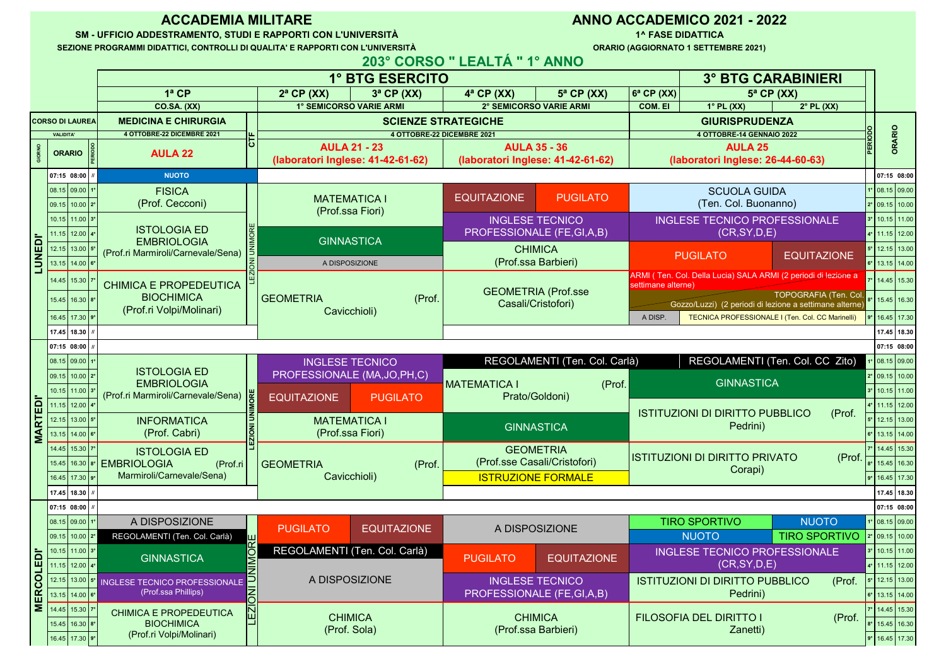| 08.15 09.00 1°   | A DISPOSIZIONE                               | <b>EQUITAZIONE</b><br><b>PUGILATO</b> |                               | A DISPOSIZIONE            |                    | <b>TIRO SPORTIVO</b>                       | <b>NUOTO</b>         | $1°$ 08.15 09.00   |                  |
|------------------|----------------------------------------------|---------------------------------------|-------------------------------|---------------------------|--------------------|--------------------------------------------|----------------------|--------------------|------------------|
| 09.15 10.00 2°   | REGOLAMENTI (Ten. Col. Carlà)                |                                       |                               |                           |                    | <b>NUOTO</b>                               | <b>TIRO SPORTIVO</b> | 2° 09.15 10.00     |                  |
| 10.15 11.00 3°   | <b>GINNASTICA</b>                            |                                       | REGOLAMENTI (Ten. Col. Carlà) |                           | <b>EQUITAZIONE</b> | <b>INGLESE TECNICO PROFESSIONALE</b>       |                      | $3°$ 10.15 11.00   |                  |
| 11.15 12.00 4°   |                                              |                                       |                               | <b>PUGILATO</b>           |                    | (CR, SY, D, E)                             | 4° 11.15 12.00       |                    |                  |
|                  | 12.15 13.00 5° INGLESE TECNICO PROFESSIONALE |                                       | A DISPOSIZIONE                | <b>INGLESE TECNICO</b>    |                    | <b>ISTITUZIONI DI DIRITTO PUBBLICO</b>     | (Prof.               | $ 5° $ 12.15 13.00 |                  |
| $13.15$ 14.00 6° | (Prof.ssa Phillips)                          |                                       |                               | PROFESSIONALE (FE,GI,A,B) |                    | Pedrini)                                   |                      | $6°$ 13.15 14.00   |                  |
| 14.45 15.30 7°   | <b>CHIMICA E PROPEDEUTICA</b>                |                                       |                               |                           |                    |                                            |                      |                    | 14.45 15.30      |
| 15.45 16.30 8°   | <b>BIOCHIMICA</b>                            |                                       | <b>CHIMICA</b>                |                           | <b>CHIMICA</b>     | <b>FILOSOFIA DEL DIRITTO I</b><br>Zanetti) | (Prof.               |                    | 5.45 16.30       |
| 16.45 17.30 9°   | (Prof.ri Volpi/Molinari)                     | (Prof. Sola)                          |                               | (Prof.ssa Barbieri)       |                    |                                            |                      |                    | $9°$ 16.45 17.30 |

| 08.15 09.00 1°                | <b>FISICA</b>                                                                  |                                                                       | <b>EQUITAZIONE</b>     | PUGILATO                   | <b>SCUOLA GUIDA</b>                                                                  |                                                  |                | 1° 08.15 09.00                         |  |
|-------------------------------|--------------------------------------------------------------------------------|-----------------------------------------------------------------------|------------------------|----------------------------|--------------------------------------------------------------------------------------|--------------------------------------------------|----------------|----------------------------------------|--|
| 09.15 10.00 2°                | (Prof. Cecconi)                                                                | <b>MATEMATICA I</b><br>(Prof.ssa Fiori)                               |                        |                            | (Ten. Col. Buonanno)                                                                 |                                                  |                | $2°$ 09.15 10.00                       |  |
| $10.15$   11.00   $3^{\circ}$ |                                                                                |                                                                       | <b>INGLESE TECNICO</b> |                            | <b>INGLESE TECNICO PROFESSIONALE</b>                                                 |                                                  |                | $3°$ 10.15 11.00                       |  |
| $11.15$   12.00   4°          |                                                                                | <b>ISTOLOGIA ED</b><br>PROFESSIONALE (FE,GI,A,B)<br><b>GINNASTICA</b> |                        | (CR, SY, D, E)             |                                                                                      |                                                  | 4° 11.15 12.00 |                                        |  |
| $12.15$   13.00   5°          | <b>EMBRIOLOGIA</b><br>(Prof.ri Marmiroli/Carnevale/Sena)  5                    | <b>CHIMICA</b>                                                        |                        |                            | <b>PUGILATO</b>                                                                      | <b>EQUITAZIONE</b>                               |                | $\vert$ 5° $\vert$ 12.15 $\vert$ 13.00 |  |
| $13.15$ 14.00 6°              |                                                                                | A DISPOSIZIONE                                                        | (Prof.ssa Barbieri)    |                            |                                                                                      |                                                  |                | $6°$ 13.15 14.00                       |  |
| 14.45 15.30 7°                | <b>CHIMICA E PROPEDEUTICA</b><br><b>BIOCHIMICA</b><br>(Prof.ri Volpi/Molinari) |                                                                       |                        |                            | ARMI (Ten. Col. Della Lucia) SALA ARMI (2 periodi di lezione a<br>settimane alterne) |                                                  |                | 7° 14.45 15.30                         |  |
| 15.45 16.30 8°                |                                                                                | (Prof.<br><b>GEOMETRIA</b>                                            | Casali/Cristofori)     | <b>GEOMETRIA (Prof.sse</b> | Gozzo/Luzzi) (2 periodi di lezione a settimane alterne)                              | TOPOGRAFIA (Ten. Col.                            |                | 15.45 16.30                            |  |
| 16.45 17.30 9°                |                                                                                | Cavicchioli)                                                          |                        |                            | A DISP.                                                                              | TECNICA PROFESSIONALE I (Ten. Col. CC Marinelli) |                | 9° 16.45 17.30                         |  |
| 17.45   18.30   // /          |                                                                                |                                                                       |                        |                            |                                                                                      |                                                  |                | 17.45   18.30                          |  |
|                               |                                                                                |                                                                       |                        |                            |                                                                                      |                                                  |                |                                        |  |

| 08.15 09.00 1°                |                                                             | <b>INGLESE TECNICO</b><br>PROFESSIONALE (MA,JO,PH,C) |                     | REGOLAMENTI (Ten. Col. Carlà)                   | REGOLAMENTI (Ten. Col. CC Zito)                              | $1°$ 08.15 09.00   |
|-------------------------------|-------------------------------------------------------------|------------------------------------------------------|---------------------|-------------------------------------------------|--------------------------------------------------------------|--------------------|
| 09.15 10.00 2°                | <b>ISTOLOGIA ED</b>                                         |                                                      |                     |                                                 | <b>GINNASTICA</b>                                            | 2° 09.15 10.00     |
| $10.15$   11.00   $3^{\circ}$ | <b>EMBRIOLOGIA</b><br>(Prof.ri Marmiroli/Carnevale/Sena)  # |                                                      |                     | (Prof.<br><b>MATEMATICA I</b><br>Prato/Goldoni) |                                                              | $3°$ 10.15 11.00   |
| 11.15 12.00 4°                |                                                             | <b>EQUITAZIONE</b>                                   | <b>PUGILATO</b>     |                                                 |                                                              | $ 4° $ 11.15 12.00 |
| 12.15 13.00 5°                | <b>INFORMATICA</b>                                          |                                                      | <b>MATEMATICA I</b> |                                                 | <b>ISTITUZIONI DI DIRITTO PUBBLICO</b><br>(Prof.<br>Pedrini) | 12.15 13.00        |
| $13.15$ 14.00 6°              | (Prof. Cabri)                                               | (Prof.ssa Fiori)                                     |                     | <b>GINNASTICA</b>                               |                                                              | $ 6° $ 13.15 14.00 |
| 14.45 15.30 7°                | <b>ISTOLOGIA ED</b>                                         |                                                      |                     | <b>GEOMETRIA</b>                                |                                                              | 7° 14.45 15.30     |
|                               | 15.45   16.30   8°   EMBRIOLOGIA<br>(Prof.ri                | <b>GEOMETRIA</b>                                     | (Prof.              | (Prof.sse Casali/Cristofori)                    | <b>ISTITUZIONI DI DIRITTO PRIVATO</b><br>(Prof.<br>Corapi)   | 15.45   16.30      |
| 16.45 17.30 9°                | Marmiroli/Carnevale/Sena)                                   | Cavicchioli)                                         |                     | <b>ISTRUZIONE FORMALE</b>                       |                                                              | $9°$ 16.45 17.30   |
| 17.45   18.30 $  $ // $  $    |                                                             |                                                      |                     |                                                 |                                                              | $17.45$ 18.30      |

|                                                           |                                   |  |                                                          |                            | 203° CORSO " LEALTÁ " 1° ANNO |                                                          |                                  |                                                     |                     |         |             |
|-----------------------------------------------------------|-----------------------------------|--|----------------------------------------------------------|----------------------------|-------------------------------|----------------------------------------------------------|----------------------------------|-----------------------------------------------------|---------------------|---------|-------------|
|                                                           | 1° BTG ESERCITO                   |  |                                                          |                            |                               | <b>3° BTG CARABINIERI</b>                                |                                  |                                                     |                     |         |             |
|                                                           | $1a$ CP                           |  | $2^a$ CP $(XX)$<br>$3^a$ CP $(XX)$                       |                            | $4^a$ CP (XX)                 | $5^a$ CP (XX)                                            | $ 6^a CP(XX) $                   |                                                     | $5^a$ CP (XX)       |         |             |
|                                                           | <b>CO.SA. (XX)</b>                |  | <b>1° SEMICORSO VARIE ARMI</b>                           |                            |                               | <b>2° SEMICORSO VARIE ARMI</b>                           | <b>COM. EI</b>                   | $1^\circ$ PL (XX)                                   | $2^{\circ}$ PL (XX) |         |             |
| <b>SO DI LAUREA </b>                                      | <b>MEDICINA E CHIRURGIA</b>       |  |                                                          | <b>SCIENZE STRATEGICHE</b> |                               |                                                          | <b>GIURISPRUDENZA</b>            |                                                     |                     |         |             |
| <b>VALIDITA'</b>                                          | <b>4 OTTOBRE-22 DICEMBRE 2021</b> |  |                                                          | 4 OTTOBRE-22 DICEMBRE 2021 |                               |                                                          | <b>4 OTTOBRE-14 GENNAIO 2022</b> |                                                     |                     |         |             |
| <b>ORARIO</b> $\begin{bmatrix} 8 \\ 2 \\ 7 \end{bmatrix}$ | <b>AULA 22</b>                    |  | <b>AULA 21 - 23</b><br>(laboratori Inglese: 41-42-61-62) |                            |                               | <b>AULA 35 - 36</b><br>(laboratori Inglese: 41-42-61-62) |                                  | <b>AULA 25</b><br>(laboratori Inglese: 26-44-60-63) |                     | PERIODO |             |
| 07:15 08:00 $     $                                       | <b>NUOTO</b>                      |  |                                                          |                            |                               |                                                          |                                  |                                                     |                     |         | 07:15 08:00 |

|                         |                                      |                                                                                                                                            |                                                                                   | 1° BTG ESERCITO                                          |                                                                                    |                                                          |                                                        |                                                                                  | <b>3° BTG CARABINIERI</b> |                  |                      |
|-------------------------|--------------------------------------|--------------------------------------------------------------------------------------------------------------------------------------------|-----------------------------------------------------------------------------------|----------------------------------------------------------|------------------------------------------------------------------------------------|----------------------------------------------------------|--------------------------------------------------------|----------------------------------------------------------------------------------|---------------------------|------------------|----------------------|
|                         |                                      |                                                                                                                                            | 1ª CP                                                                             | $2^a$ CP (XX)<br>$3^a$ CP $(XX)$                         | $4^a$ CP $(XX)$                                                                    | $5^a$ CP (XX)                                            | $ 6^a CP(XX) $                                         |                                                                                  | $5^a$ CP (XX)             |                  |                      |
|                         |                                      |                                                                                                                                            | <b>CO.SA. (XX)</b>                                                                | <b>I° SEMICORSO VARIE ARMI</b>                           | <b>2° SEMICORSO VARIE ARMI</b>                                                     |                                                          | <b>COM. EI</b>                                         | $1^\circ$ PL (XX)                                                                | $2^{\circ}$ PL (XX)       |                  |                      |
|                         |                                      | <b>CORSO DI LAUREA</b>                                                                                                                     | <b>MEDICINA E CHIRURGIA</b>                                                       |                                                          | <b>SCIENZE STRATEGICHE</b>                                                         |                                                          |                                                        | <b>GIURISPRUDENZA</b>                                                            |                           |                  |                      |
|                         | <b>VALIDITA'</b>                     |                                                                                                                                            | <b>4 OTTOBRE-22 DICEMBRE 2021</b><br>ᄔ                                            | <b>4 OTTOBRE-22 DICEMBRE 2021</b>                        |                                                                                    |                                                          |                                                        | 4 OTTOBRE-14 GENNAIO 2022                                                        |                           |                  |                      |
|                         | <b>ORARIO</b>                        |                                                                                                                                            | <b>AULA 22</b>                                                                    | <b>AULA 21 - 23</b><br>(laboratori Inglese: 41-42-61-62) |                                                                                    | <b>AULA 35 - 36</b><br>(laboratori Inglese: 41-42-61-62) |                                                        | <b>AULA 25</b><br>(laboratori Inglese: 26-44-60-63)                              |                           |                  |                      |
|                         |                                      | $\vert 07:15$ 08:00 $\vert$ //                                                                                                             | <b>NUOTO</b>                                                                      |                                                          |                                                                                    |                                                          |                                                        |                                                                                  |                           |                  | 07:15 08:00          |
|                         |                                      | $\vert 08.15 \vert 09.00 \vert 1^{\circ} \vert$                                                                                            | <b>FISICA</b>                                                                     |                                                          |                                                                                    |                                                          |                                                        | <b>SCUOLA GUIDA</b>                                                              |                           |                  | $1°$ 08.15 09.00     |
|                         |                                      | $\vert 09.15 \vert 10.00 \vert 2^{\circ} \vert$                                                                                            | (Prof. Cecconi)                                                                   | <b>MATEMATICA I</b>                                      | EQUITAZIONE<br><b>PUGILATO</b>                                                     |                                                          |                                                        | (Ten. Col. Buonanno)                                                             |                           |                  | 2° 09.15 10.00       |
|                         |                                      | $10.15$ 11.00 3°                                                                                                                           |                                                                                   | (Prof.ssa Fiori)                                         |                                                                                    | <b>INGLESE TECNICO</b>                                   |                                                        |                                                                                  |                           |                  | 3° 10.15 11.00       |
|                         |                                      |                                                                                                                                            | <b>ISTOLOGIA ED</b>                                                               |                                                          |                                                                                    | PROFESSIONALE (FE,GI,A,B)                                | <b>INGLESE TECNICO PROFESSIONALE</b><br>(CR, SY, D, E) |                                                                                  |                           |                  | 4° 11.15 12.00       |
|                         |                                      | $\bigcap$ 11.15 12.00 4°<br>$\overline{11}$   12.15   13.00   5°                                                                           | <b>EMBRIOLOGIA</b>                                                                | <b>GINNASTICA</b>                                        |                                                                                    | <b>CHIMICA</b>                                           |                                                        |                                                                                  |                           |                  | $5°$ 12.15 13.00     |
|                         |                                      | $13.15$ 14.00 6                                                                                                                            | <sup>1</sup> (Prof.ri Marmiroli/Carnevale/Sena)  5                                | A DISPOSIZIONE                                           |                                                                                    | (Prof.ssa Barbieri)                                      |                                                        | PUGILATO                                                                         | <b>EQUITAZIONE</b>        |                  | $ 6° $ 13.15   14.00 |
| — 1                     |                                      |                                                                                                                                            |                                                                                   |                                                          |                                                                                    |                                                          |                                                        | ARMI (Ten. Col. Della Lucia) SALA ARMI (2 periodi di lezione a                   |                           |                  |                      |
|                         |                                      | $14.45$ 15.30 $7°$                                                                                                                         | <b>CHIMICA E PROPEDEUTICA</b>                                                     |                                                          |                                                                                    |                                                          | settimane alterne)                                     |                                                                                  |                           |                  | 14.45 15.30          |
|                         |                                      | $15.45$ 16.30 8°                                                                                                                           | <b>BIOCHIMICA</b>                                                                 | (Prof.<br><b>GEOMETRIA</b>                               |                                                                                    | <b>GEOMETRIA (Prof.sse</b>                               |                                                        | TOPOGRAFIA (Ten. Col.<br>Gozzo/Luzzi) (2 periodi di lezione a settimane alterne) |                           |                  | 15.45 16.30          |
|                         |                                      | $16.45$ 17.30 9°                                                                                                                           | (Prof.ri Volpi/Molinari)                                                          | Cavicchioli)                                             | Casali/Cristofori)                                                                 |                                                          | A DISP.                                                | TECNICA PROFESSIONALE I (Ten. Col. CC Marinelli)                                 |                           |                  | 9° 16.45 17.30       |
|                         |                                      | $17.45$ 18.30 $\mid$ //                                                                                                                    |                                                                                   |                                                          |                                                                                    |                                                          |                                                        |                                                                                  |                           |                  | 17.45 18.30          |
|                         |                                      |                                                                                                                                            |                                                                                   |                                                          |                                                                                    |                                                          |                                                        |                                                                                  |                           |                  |                      |
|                         | $\vert$ 07:15 08:00 $\vert$ //       |                                                                                                                                            |                                                                                   |                                                          |                                                                                    |                                                          |                                                        |                                                                                  |                           |                  | 07:15 08:00          |
|                         |                                      | $\vert$ 08.15 $\vert$ 09.00 $\vert$ 1°                                                                                                     | <b>ISTOLOGIA ED</b>                                                               | <b>INGLESE TECNICO</b>                                   | REGOLAMENTI (Ten. Col. Carlà)<br>(Prof.)<br><b>IMATEMATICA I</b><br>Prato/Goldoni) |                                                          |                                                        | REGOLAMENTI (Ten. Col. CC Zito)                                                  |                           |                  | 08.15 09.00          |
|                         |                                      | $\vert 09.15 \vert 10.00 \vert 2^{\circ}$                                                                                                  | <b>EMBRIOLOGIA</b>                                                                | PROFESSIONALE (MA, JO, PH, C)                            |                                                                                    |                                                          | <b>GINNASTICA</b>                                      |                                                                                  |                           |                  | 2° 09.15 10.00       |
|                         |                                      | 10.15 11.00 3°                                                                                                                             | (Prof.ri Marmiroli/Carnevale/Sena)                                                | <b>EQUITAZIONE</b><br><b>PUGILATO</b>                    |                                                                                    |                                                          |                                                        |                                                                                  |                           | $3°$ 10.15 11.00 |                      |
|                         |                                      | 11.15 12.00 4°                                                                                                                             |                                                                                   |                                                          |                                                                                    |                                                          | <b>ISTITUZIONI DI DIRITTO PUBBLICO</b>                 |                                                                                  |                           |                  | 4° 11.15 12.00       |
| $\overline{\mathbf{r}}$ |                                      | $12.15$ 13.00 5°                                                                                                                           | <b>INFORMATICA</b>                                                                | <b>MATEMATICA I</b>                                      | <b>GINNASTICA</b>                                                                  |                                                          | (Prof.<br>Pedrini)                                     |                                                                                  |                           |                  | 12.15 13.00          |
|                         |                                      | $\frac{13.15}{13.15}$ 14.00 6°                                                                                                             | LEZIONI UNI<br>(Prof. Cabri)                                                      | (Prof.ssa Fiori)                                         |                                                                                    |                                                          |                                                        |                                                                                  |                           |                  | 6° 13.15 14.00       |
|                         |                                      | $\vert$ 14.45 $\vert$ 15.30 $\vert$ 7° $\vert$                                                                                             | <b>ISTOLOGIA ED</b>                                                               |                                                          | <b>GEOMETRIA</b>                                                                   |                                                          |                                                        |                                                                                  |                           |                  | 7° 14.45 15.30       |
|                         |                                      | $15.45$ 16.30 8°                                                                                                                           | <b>I EMBRIOLOGIA</b><br>(Prof.ri                                                  | (Prof. )<br><b>GEOMETRIA</b>                             |                                                                                    | (Prof.sse Casali/Cristofori)                             |                                                        | <b>ISTITUZIONI DI DIRITTO PRIVATO</b>                                            | $(Prof. \mid)$            |                  | 8° 15.45 16.30       |
|                         |                                      | $16.45$ 17.30   9°                                                                                                                         | Marmiroli/Carnevale/Sena)                                                         | Cavicchioli)                                             |                                                                                    | Corapi)<br><b>ISTRUZIONE FORMALE</b>                     |                                                        |                                                                                  |                           |                  | $ 9° $ 16.45 17.30   |
|                         |                                      | 17.45   18.30   //                                                                                                                         |                                                                                   |                                                          |                                                                                    |                                                          |                                                        |                                                                                  |                           |                  | 17.45 18.30          |
|                         | $\vert 07:15 \vert 08:00 \vert \, h$ |                                                                                                                                            |                                                                                   |                                                          |                                                                                    |                                                          |                                                        |                                                                                  |                           |                  | 07:15 08:00          |
|                         |                                      | $\vert 08.15 \vert 09.00 \vert 1^{\circ} \vert$                                                                                            | A DISPOSIZIONE                                                                    |                                                          |                                                                                    |                                                          |                                                        | <b>TIRO SPORTIVO</b>                                                             | <b>NUOTO</b>              |                  | $1°$ 08.15 09.00     |
|                         |                                      | $\vert 09.15 \vert 10.00 \vert 2^{\circ} \vert$                                                                                            | REGOLAMENTI (Ten. Col. Carlà)                                                     | PUGILATO<br><b>EQUITAZIONE</b>                           |                                                                                    | A DISPOSIZIONE                                           |                                                        | <b>NUOTO</b>                                                                     | <b>TIRO SPORTIVO</b>      |                  | $2°$ 09.15 10.00     |
|                         |                                      |                                                                                                                                            |                                                                                   | REGOLAMENTI (Ten. Col. Carlà)                            |                                                                                    |                                                          |                                                        | INGLESE TECNICO PROFESSIONALE                                                    |                           |                  | 3° 10.15 11.00       |
|                         |                                      | $\frac{1}{\sqrt{2}}$ $\left[\frac{10.15}{11.00}\right]$ $\left[\frac{3^{\circ}}{2}\right]$<br>$\overline{\mathbf{u}}$   11.15   12.00   4° | GINNASTICA                                                                        |                                                          | <b>PUGILATO</b>                                                                    | <b>EQUITAZIONE</b>                                       |                                                        | (CR, SY, D, E)                                                                   |                           |                  | $ 4° $ 11.15 12.00   |
|                         |                                      | 0 12.15 13.00 5°                                                                                                                           |                                                                                   | A DISPOSIZIONE                                           |                                                                                    |                                                          |                                                        |                                                                                  |                           |                  | $ 5° $ 12.15 13.00   |
|                         |                                      |                                                                                                                                            | INGLESE TECNICO PROFESSIONALE<br>$ \overline{\mathsf{Z}} $<br>(Prof.ssa Phillips) |                                                          |                                                                                    | <b>INGLESE TECNICO</b><br>PROFESSIONALE (FE,GI,A,B)      |                                                        | <b>ISTITUZIONI DI DIRITTO PUBBLICO</b><br>Pedrini)                               | (Prof.                    |                  | $ 6° $ 13.15   14.00 |
|                         |                                      | LE 13.15 14.00 6°                                                                                                                          |                                                                                   |                                                          |                                                                                    |                                                          |                                                        |                                                                                  |                           |                  |                      |
|                         |                                      |                                                                                                                                            | <b>CHIMICA E PROPEDEUTICA</b>                                                     | <b>CHIMICA</b>                                           |                                                                                    | <b>CHIMICA</b>                                           |                                                        | FILOSOFIA DEL DIRITTO I                                                          | (Prof.                    |                  | 7° 14.45 15.30       |
|                         |                                      | 15.45 16.30 8°                                                                                                                             | <b>BIOCHIMICA</b><br>(Prof.ri Volpi/Molinari)                                     | (Prof. Sola)                                             |                                                                                    | (Prof.ssa Barbieri)                                      | Zanetti)                                               |                                                                                  |                           |                  | 15.45 16.30          |
|                         |                                      | $16.45$ 17.30   9°                                                                                                                         |                                                                                   |                                                          |                                                                                    |                                                          |                                                        |                                                                                  |                           |                  | $9°$ 16.45 17.30     |

| <u>ULITEMPINE EVET</u>                          |                                                                               |                |                |                |  |  |  |  |  |
|-------------------------------------------------|-------------------------------------------------------------------------------|----------------|----------------|----------------|--|--|--|--|--|
| <b>3° BTG CARABINIERI</b>                       |                                                                               |                |                |                |  |  |  |  |  |
| $5^a$ CP (XX)                                   |                                                                               |                |                |                |  |  |  |  |  |
| $1°$ PL (XX)                                    |                                                                               |                |                |                |  |  |  |  |  |
| <b>GIURISPRUDENZA</b>                           | $\overline{\mathsf{O}}$                                                       |                |                |                |  |  |  |  |  |
| 4 OTTOBRE-14 GENNAIO 2022                       | ERIOD                                                                         | ORARIO         |                |                |  |  |  |  |  |
| <b>AULA 25</b><br>oratori Inglese: 26-44-60-63) |                                                                               |                |                |                |  |  |  |  |  |
|                                                 |                                                                               |                |                |                |  |  |  |  |  |
|                                                 |                                                                               | $1^{\circ}$    | 07:15<br>08.15 | 08:00<br>09.00 |  |  |  |  |  |
| <b>SCUOLA GUIDA</b><br>(Ten. Col. Buonanno)     | $2^{\circ}$                                                                   | 09.15          | 10.00          |                |  |  |  |  |  |
| <b>SE TECNICO PROFESSIONALE</b>                 | 3 <sup>°</sup>                                                                | 10.15          | 11.00          |                |  |  |  |  |  |
| (CR, SY, D, E)                                  | $4^\circ$                                                                     | 11.15          | 12.00          |                |  |  |  |  |  |
|                                                 | $5^\circ$                                                                     | 12.15          | 13.00          |                |  |  |  |  |  |
| <b>GILATO</b>                                   | <b>EQUITAZIONE</b>                                                            | $6^{\circ}$    | 13.15          | 14.00          |  |  |  |  |  |
| Della Lucia) SALA ARMI (2 periodi di lezione a  |                                                                               |                |                |                |  |  |  |  |  |
| (e                                              |                                                                               | $7^\circ$      | 14.45          | 15.30          |  |  |  |  |  |
|                                                 | TOPOGRAFIA (Ten. Col.)<br>o/Luzzi) (2 periodi di lezione a settimane alterne) | $8^\circ$      | 15.45          | 16.30          |  |  |  |  |  |
|                                                 | TECNICA PROFESSIONALE I (Ten. Col. CC Marinelli)                              | $9^\circ$      | 16.45          | 17.30          |  |  |  |  |  |
|                                                 |                                                                               |                | 17.45          | 18.30          |  |  |  |  |  |
|                                                 |                                                                               | 07:15          | 08:00          |                |  |  |  |  |  |
| REGOLAMENTI (Ten. Col. CC Zito)                 | $1^{\circ}$                                                                   | 08.15          | 09.00          |                |  |  |  |  |  |
| <b>GINNASTICA</b>                               |                                                                               | $2^{\circ}$    | 09.15          | 10.00          |  |  |  |  |  |
|                                                 |                                                                               | 3 <sup>°</sup> | 10.15          | 11.00          |  |  |  |  |  |
| NI DI DIRITTO PUBBLICO                          | $4^\circ$<br>$5^\circ$                                                        | 11.15<br>12.15 | 12.00<br>13.00 |                |  |  |  |  |  |
| Pedrini)                                        |                                                                               | $6^\circ$      |                | 13.15   14.00  |  |  |  |  |  |
|                                                 |                                                                               | $7^\circ$      | 14.45          | 15.30          |  |  |  |  |  |
| I DI DIRITTO PRIVATO                            | (Prof.                                                                        | $8^{\circ}$    | 15.45          | 16.30          |  |  |  |  |  |
| Corapi)                                         |                                                                               | $9^\circ$      | 16.45          | 17.30          |  |  |  |  |  |
|                                                 |                                                                               |                | 17.45          | 18.30          |  |  |  |  |  |
|                                                 |                                                                               |                | 07:15          | 08:00          |  |  |  |  |  |
| SPORTIVO                                        | <b>NUOTO</b>                                                                  | $1^{\circ}$    | 08.15          | 09.00          |  |  |  |  |  |
| <b>UOTO</b>                                     | <b>TIRO SPORTIVO</b>                                                          | $2^{\circ}$    | 09.15          | 10.00          |  |  |  |  |  |
| SE TECNICO PROFESSIONALE                        |                                                                               | 3 <sup>°</sup> | 10.15          | 11.00          |  |  |  |  |  |
| (CR, SY, D, E)                                  |                                                                               | $4^\circ$      | 11.15          | 12.00          |  |  |  |  |  |
| NI DI<br><b>DIRITTO PUBBLICO</b>                | (Prof.                                                                        | $5^\circ$      | 12.15          | 13.00          |  |  |  |  |  |
| Pedrini)                                        |                                                                               | $6^{\circ}$    | 13.15          | 14.00          |  |  |  |  |  |
|                                                 |                                                                               | $7^\circ$      | 14.45          | 15.30          |  |  |  |  |  |
| <b>DIRITTO I</b><br>DEL<br>Zanetti)             | (Prof.                                                                        | $8^{\circ}$    | 15.45          | 16.30          |  |  |  |  |  |
|                                                 |                                                                               | $9^\circ$      | 16.45          | 17.30          |  |  |  |  |  |

**ORARIO (AGGIORNATO 1 SETTEMBRE 2021)**

**1^ FASE DIDATTICA**

## **ANNO ACCADEMICO 2021 - 2022**

**SEZIONE PROGRAMMI DIDATTICI, CONTROLLI DI QUALITA' E RAPPORTI CON L'UNIVERSITÀ**

**SM - UFFICIO ADDESTRAMENTO, STUDI E RAPPORTI CON L'UNIVERSITÀ**

## **ACCADEMIA MILITARE**